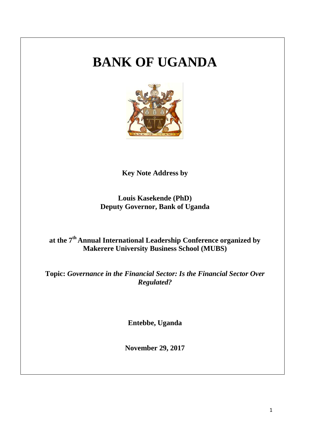# **BANK OF UGANDA**



**Key Note Address by**

**Louis Kasekende (PhD) Deputy Governor, Bank of Uganda**

# **at the 7th Annual International Leadership Conference organized by Makerere University Business School (MUBS)**

**Topic:** *Governance in the Financial Sector: Is the Financial Sector Over Regulated?*

**Entebbe, Uganda** 

**November 29, 2017**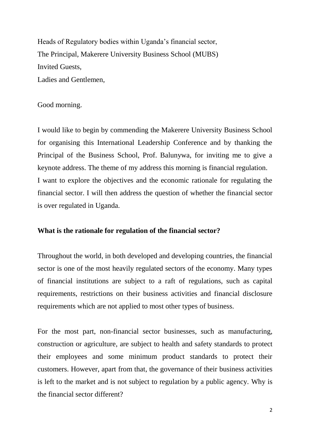Heads of Regulatory bodies within Uganda's financial sector, The Principal, Makerere University Business School (MUBS) Invited Guests, Ladies and Gentlemen,

# Good morning.

I would like to begin by commending the Makerere University Business School for organising this International Leadership Conference and by thanking the Principal of the Business School, Prof. Balunywa, for inviting me to give a keynote address. The theme of my address this morning is financial regulation. I want to explore the objectives and the economic rationale for regulating the financial sector. I will then address the question of whether the financial sector is over regulated in Uganda.

#### **What is the rationale for regulation of the financial sector?**

Throughout the world, in both developed and developing countries, the financial sector is one of the most heavily regulated sectors of the economy. Many types of financial institutions are subject to a raft of regulations, such as capital requirements, restrictions on their business activities and financial disclosure requirements which are not applied to most other types of business.

For the most part, non-financial sector businesses, such as manufacturing, construction or agriculture, are subject to health and safety standards to protect their employees and some minimum product standards to protect their customers. However, apart from that, the governance of their business activities is left to the market and is not subject to regulation by a public agency. Why is the financial sector different?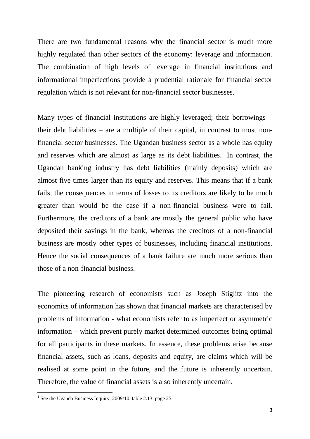There are two fundamental reasons why the financial sector is much more highly regulated than other sectors of the economy: leverage and information. The combination of high levels of leverage in financial institutions and informational imperfections provide a prudential rationale for financial sector regulation which is not relevant for non-financial sector businesses.

Many types of financial institutions are highly leveraged; their borrowings – their debt liabilities – are a multiple of their capital, in contrast to most nonfinancial sector businesses. The Ugandan business sector as a whole has equity and reserves which are almost as large as its debt liabilities.<sup>1</sup> In contrast, the Ugandan banking industry has debt liabilities (mainly deposits) which are almost five times larger than its equity and reserves. This means that if a bank fails, the consequences in terms of losses to its creditors are likely to be much greater than would be the case if a non-financial business were to fail. Furthermore, the creditors of a bank are mostly the general public who have deposited their savings in the bank, whereas the creditors of a non-financial business are mostly other types of businesses, including financial institutions. Hence the social consequences of a bank failure are much more serious than those of a non-financial business.

The pioneering research of economists such as Joseph Stiglitz into the economics of information has shown that financial markets are characterised by problems of information - what economists refer to as imperfect or asymmetric information – which prevent purely market determined outcomes being optimal for all participants in these markets. In essence, these problems arise because financial assets, such as loans, deposits and equity, are claims which will be realised at some point in the future, and the future is inherently uncertain. Therefore, the value of financial assets is also inherently uncertain.

 1 See the Uganda Business Inquiry, 2009/10, table 2.13, page 25.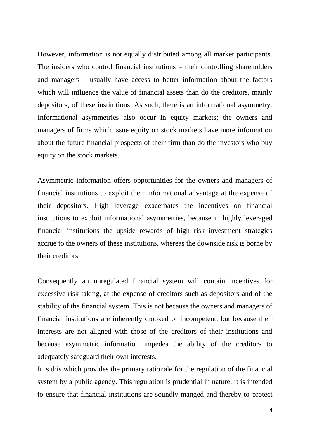However, information is not equally distributed among all market participants. The insiders who control financial institutions – their controlling shareholders and managers – usually have access to better information about the factors which will influence the value of financial assets than do the creditors, mainly depositors, of these institutions. As such, there is an informational asymmetry. Informational asymmetries also occur in equity markets; the owners and managers of firms which issue equity on stock markets have more information about the future financial prospects of their firm than do the investors who buy equity on the stock markets.

Asymmetric information offers opportunities for the owners and managers of financial institutions to exploit their informational advantage at the expense of their depositors. High leverage exacerbates the incentives on financial institutions to exploit informational asymmetries, because in highly leveraged financial institutions the upside rewards of high risk investment strategies accrue to the owners of these institutions, whereas the downside risk is borne by their creditors.

Consequently an unregulated financial system will contain incentives for excessive risk taking, at the expense of creditors such as depositors and of the stability of the financial system. This is not because the owners and managers of financial institutions are inherently crooked or incompetent, but because their interests are not aligned with those of the creditors of their institutions and because asymmetric information impedes the ability of the creditors to adequately safeguard their own interests.

It is this which provides the primary rationale for the regulation of the financial system by a public agency. This regulation is prudential in nature; it is intended to ensure that financial institutions are soundly manged and thereby to protect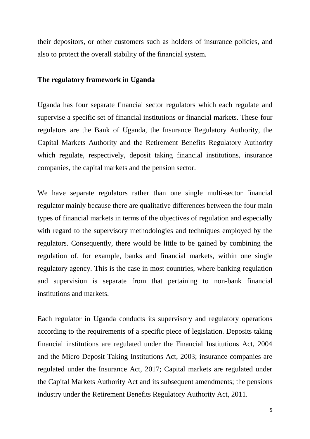their depositors, or other customers such as holders of insurance policies, and also to protect the overall stability of the financial system.

### **The regulatory framework in Uganda**

Uganda has four separate financial sector regulators which each regulate and supervise a specific set of financial institutions or financial markets. These four regulators are the Bank of Uganda, the Insurance Regulatory Authority, the Capital Markets Authority and the Retirement Benefits Regulatory Authority which regulate, respectively, deposit taking financial institutions, insurance companies, the capital markets and the pension sector.

We have separate regulators rather than one single multi-sector financial regulator mainly because there are qualitative differences between the four main types of financial markets in terms of the objectives of regulation and especially with regard to the supervisory methodologies and techniques employed by the regulators. Consequently, there would be little to be gained by combining the regulation of, for example, banks and financial markets, within one single regulatory agency. This is the case in most countries, where banking regulation and supervision is separate from that pertaining to non-bank financial institutions and markets.

Each regulator in Uganda conducts its supervisory and regulatory operations according to the requirements of a specific piece of legislation. Deposits taking financial institutions are regulated under the Financial Institutions Act, 2004 and the Micro Deposit Taking Institutions Act, 2003; insurance companies are regulated under the Insurance Act, 2017; Capital markets are regulated under the Capital Markets Authority Act and its subsequent amendments; the pensions industry under the Retirement Benefits Regulatory Authority Act, 2011.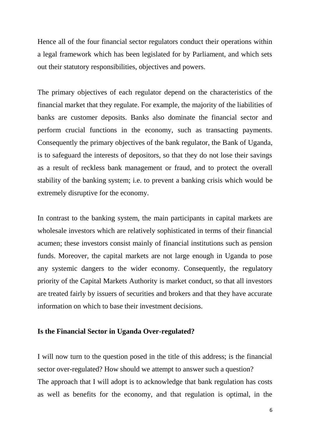Hence all of the four financial sector regulators conduct their operations within a legal framework which has been legislated for by Parliament, and which sets out their statutory responsibilities, objectives and powers.

The primary objectives of each regulator depend on the characteristics of the financial market that they regulate. For example, the majority of the liabilities of banks are customer deposits. Banks also dominate the financial sector and perform crucial functions in the economy, such as transacting payments. Consequently the primary objectives of the bank regulator, the Bank of Uganda, is to safeguard the interests of depositors, so that they do not lose their savings as a result of reckless bank management or fraud, and to protect the overall stability of the banking system; i.e. to prevent a banking crisis which would be extremely disruptive for the economy.

In contrast to the banking system, the main participants in capital markets are wholesale investors which are relatively sophisticated in terms of their financial acumen; these investors consist mainly of financial institutions such as pension funds. Moreover, the capital markets are not large enough in Uganda to pose any systemic dangers to the wider economy. Consequently, the regulatory priority of the Capital Markets Authority is market conduct, so that all investors are treated fairly by issuers of securities and brokers and that they have accurate information on which to base their investment decisions.

#### **Is the Financial Sector in Uganda Over-regulated?**

I will now turn to the question posed in the title of this address; is the financial sector over-regulated? How should we attempt to answer such a question? The approach that I will adopt is to acknowledge that bank regulation has costs as well as benefits for the economy, and that regulation is optimal, in the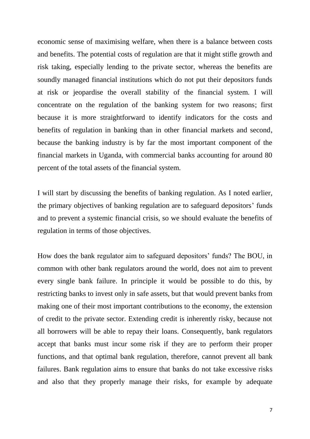economic sense of maximising welfare, when there is a balance between costs and benefits. The potential costs of regulation are that it might stifle growth and risk taking, especially lending to the private sector, whereas the benefits are soundly managed financial institutions which do not put their depositors funds at risk or jeopardise the overall stability of the financial system. I will concentrate on the regulation of the banking system for two reasons; first because it is more straightforward to identify indicators for the costs and benefits of regulation in banking than in other financial markets and second, because the banking industry is by far the most important component of the financial markets in Uganda, with commercial banks accounting for around 80 percent of the total assets of the financial system.

I will start by discussing the benefits of banking regulation. As I noted earlier, the primary objectives of banking regulation are to safeguard depositors' funds and to prevent a systemic financial crisis, so we should evaluate the benefits of regulation in terms of those objectives.

How does the bank regulator aim to safeguard depositors' funds? The BOU, in common with other bank regulators around the world, does not aim to prevent every single bank failure. In principle it would be possible to do this, by restricting banks to invest only in safe assets, but that would prevent banks from making one of their most important contributions to the economy, the extension of credit to the private sector. Extending credit is inherently risky, because not all borrowers will be able to repay their loans. Consequently, bank regulators accept that banks must incur some risk if they are to perform their proper functions, and that optimal bank regulation, therefore, cannot prevent all bank failures. Bank regulation aims to ensure that banks do not take excessive risks and also that they properly manage their risks, for example by adequate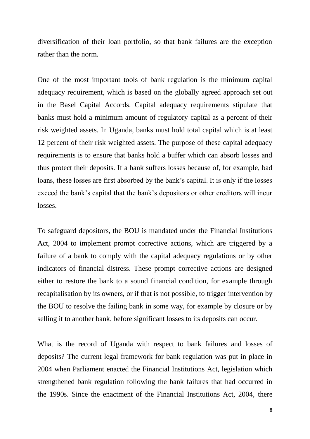diversification of their loan portfolio, so that bank failures are the exception rather than the norm.

One of the most important tools of bank regulation is the minimum capital adequacy requirement, which is based on the globally agreed approach set out in the Basel Capital Accords. Capital adequacy requirements stipulate that banks must hold a minimum amount of regulatory capital as a percent of their risk weighted assets. In Uganda, banks must hold total capital which is at least 12 percent of their risk weighted assets. The purpose of these capital adequacy requirements is to ensure that banks hold a buffer which can absorb losses and thus protect their deposits. If a bank suffers losses because of, for example, bad loans, these losses are first absorbed by the bank's capital. It is only if the losses exceed the bank's capital that the bank's depositors or other creditors will incur losses.

To safeguard depositors, the BOU is mandated under the Financial Institutions Act, 2004 to implement prompt corrective actions, which are triggered by a failure of a bank to comply with the capital adequacy regulations or by other indicators of financial distress. These prompt corrective actions are designed either to restore the bank to a sound financial condition, for example through recapitalisation by its owners, or if that is not possible, to trigger intervention by the BOU to resolve the failing bank in some way, for example by closure or by selling it to another bank, before significant losses to its deposits can occur.

What is the record of Uganda with respect to bank failures and losses of deposits? The current legal framework for bank regulation was put in place in 2004 when Parliament enacted the Financial Institutions Act, legislation which strengthened bank regulation following the bank failures that had occurred in the 1990s. Since the enactment of the Financial Institutions Act, 2004, there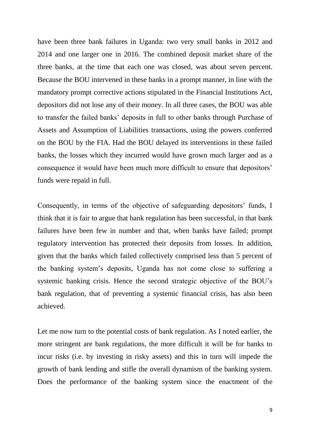have been three bank failures in Uganda: two very small banks in 2012 and 2014 and one larger one in 2016. The combined deposit market share of the three banks, at the time that each one was closed, was about seven percent. Because the BOU intervened in these banks in a prompt manner, in line with the mandatory prompt corrective actions stipulated in the Financial Institutions Act, depositors did not lose any of their money. In all three cases, the BOU was able to transfer the failed banks' deposits in full to other banks through Purchase of Assets and Assumption of Liabilities transactions, using the powers conferred on the BOU by the FIA. Had the BOU delayed its interventions in these failed banks, the losses which they incurred would have grown much larger and as a consequence it would have been much more difficult to ensure that depositors' funds were repaid in full.

Consequently, in terms of the objective of safeguarding depositors' funds, I think that it is fair to argue that bank regulation has been successful, in that bank failures have been few in number and that, when banks have failed; prompt regulatory intervention has protected their deposits from losses. In addition, given that the banks which failed collectively comprised less than 5 percent of the banking system's deposits, Uganda has not come close to suffering a systemic banking crisis. Hence the second strategic objective of the BOU's bank regulation, that of preventing a systemic financial crisis, has also been achieved.

Let me now turn to the potential costs of bank regulation. As I noted earlier, the more stringent are bank regulations, the more difficult it will be for banks to incur risks (i.e. by investing in risky assets) and this in turn will impede the growth of bank lending and stifle the overall dynamism of the banking system. Does the performance of the banking system since the enactment of the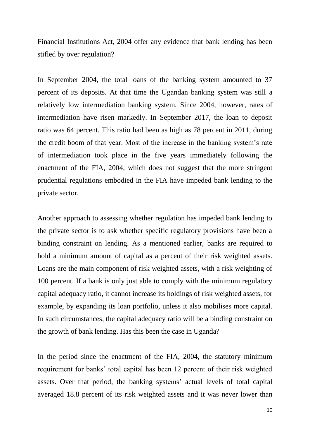Financial Institutions Act, 2004 offer any evidence that bank lending has been stifled by over regulation?

In September 2004, the total loans of the banking system amounted to 37 percent of its deposits. At that time the Ugandan banking system was still a relatively low intermediation banking system. Since 2004, however, rates of intermediation have risen markedly. In September 2017, the loan to deposit ratio was 64 percent. This ratio had been as high as 78 percent in 2011, during the credit boom of that year. Most of the increase in the banking system's rate of intermediation took place in the five years immediately following the enactment of the FIA, 2004, which does not suggest that the more stringent prudential regulations embodied in the FIA have impeded bank lending to the private sector.

Another approach to assessing whether regulation has impeded bank lending to the private sector is to ask whether specific regulatory provisions have been a binding constraint on lending. As a mentioned earlier, banks are required to hold a minimum amount of capital as a percent of their risk weighted assets. Loans are the main component of risk weighted assets, with a risk weighting of 100 percent. If a bank is only just able to comply with the minimum regulatory capital adequacy ratio, it cannot increase its holdings of risk weighted assets, for example, by expanding its loan portfolio, unless it also mobilises more capital. In such circumstances, the capital adequacy ratio will be a binding constraint on the growth of bank lending. Has this been the case in Uganda?

In the period since the enactment of the FIA, 2004, the statutory minimum requirement for banks' total capital has been 12 percent of their risk weighted assets. Over that period, the banking systems' actual levels of total capital averaged 18.8 percent of its risk weighted assets and it was never lower than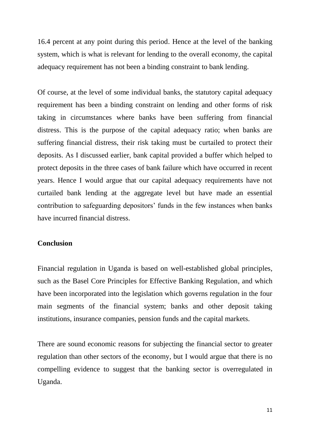16.4 percent at any point during this period. Hence at the level of the banking system, which is what is relevant for lending to the overall economy, the capital adequacy requirement has not been a binding constraint to bank lending.

Of course, at the level of some individual banks, the statutory capital adequacy requirement has been a binding constraint on lending and other forms of risk taking in circumstances where banks have been suffering from financial distress. This is the purpose of the capital adequacy ratio; when banks are suffering financial distress, their risk taking must be curtailed to protect their deposits. As I discussed earlier, bank capital provided a buffer which helped to protect deposits in the three cases of bank failure which have occurred in recent years. Hence I would argue that our capital adequacy requirements have not curtailed bank lending at the aggregate level but have made an essential contribution to safeguarding depositors' funds in the few instances when banks have incurred financial distress.

# **Conclusion**

Financial regulation in Uganda is based on well-established global principles, such as the Basel Core Principles for Effective Banking Regulation, and which have been incorporated into the legislation which governs regulation in the four main segments of the financial system; banks and other deposit taking institutions, insurance companies, pension funds and the capital markets.

There are sound economic reasons for subjecting the financial sector to greater regulation than other sectors of the economy, but I would argue that there is no compelling evidence to suggest that the banking sector is overregulated in Uganda.